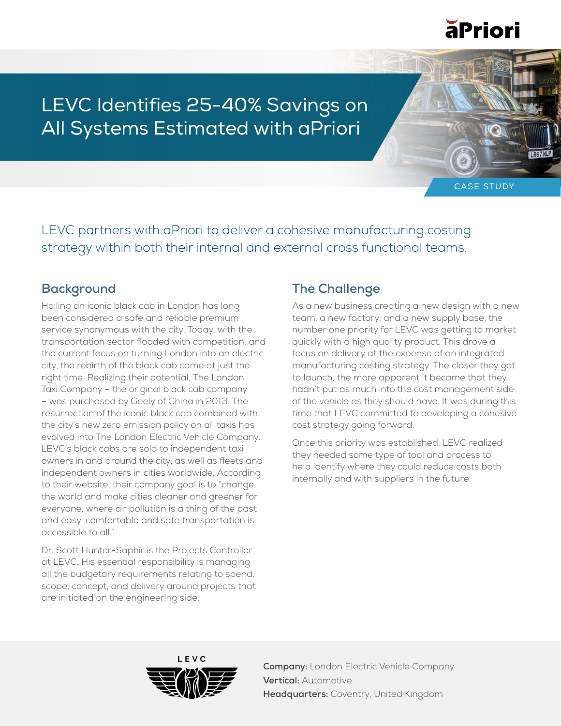

LEVC Identifies 25-40% Savings on All Systems Estimated with aPriori

CASE STUDY

LEVC partners with aPriori to deliver a cohesive manufacturing costing strategy within both their internal and external cross functional teams.

#### **Background**

Hailing an iconic black cab in London has long been considered a safe and reliable premium service synonymous with the city. Today, with the transportation sector flooded with competition, and the current focus on turning London into an electric city, the rebirth of the black cab came at just the right time. Realizing their potential, The London Taxi Company – the original black cab company – was purchased by Geely of China in 2013. The resurrection of the iconic black cab combined with the city's new zero emission policy on all taxis has evolved into The London Electric Vehicle Company. LEVC's black cabs are sold to independent taxi owners in and around the city, as well as fleets and independent owners in cities worldwide. According to their website, their company goal is to "change the world and make cities cleaner and greener for everyone, where air pollution is a thing of the past and easy, comfortable and safe transportation is accessible to all."

Dr. Scott Hunter-Saphir is the Projects Controller at LEVC. His essential responsibility is managing all the budgetary requirements relating to spend, scope, concept, and delivery around projects that are initiated on the engineering side.

#### **The Challenge**

As a new business creating a new design with a new team, a new factory, and a new supply base, the number one priority for LEVC was getting to market quickly with a high quality product. This drove a focus on delivery at the expense of an integrated manufacturing costing strategy. The closer they got to launch, the more apparent it became that they hadn't put as much into the cost management side of the vehicle as they should have. It was during this time that LEVC committed to developing a cohesive cost strategy going forward.

Once this priority was established, LEVC realized they needed some type of tool and process to help identify where they could reduce costs both internally and with suppliers in the future.



**Company:** London Electric Vehicle Company **Vertical:** Automotive **Headquarters:** Coventry, United Kingdom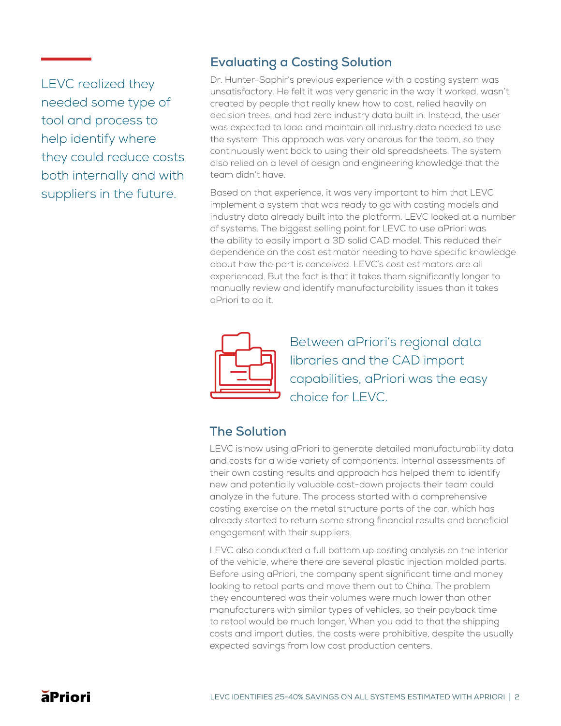LEVC realized they needed some type of tool and process to help identify where they could reduce costs both internally and with suppliers in the future.

## **Evaluating a Costing Solution**

Dr. Hunter-Saphir's previous experience with a costing system was unsatisfactory. He felt it was very generic in the way it worked, wasn't created by people that really knew how to cost, relied heavily on decision trees, and had zero industry data built in. Instead, the user was expected to load and maintain all industry data needed to use the system. This approach was very onerous for the team, so they continuously went back to using their old spreadsheets. The system also relied on a level of design and engineering knowledge that the team didn't have.

Based on that experience, it was very important to him that LEVC implement a system that was ready to go with costing models and industry data already built into the platform. LEVC looked at a number of systems. The biggest selling point for LEVC to use aPriori was the ability to easily import a 3D solid CAD model. This reduced their dependence on the cost estimator needing to have specific knowledge about how the part is conceived. LEVC's cost estimators are all experienced. But the fact is that it takes them significantly longer to manually review and identify manufacturability issues than it takes aPriori to do it.



Between aPriori's regional data libraries and the CAD import capabilities, aPriori was the easy choice for LEVC.

# **The Solution**

LEVC is now using aPriori to generate detailed manufacturability data and costs for a wide variety of components. Internal assessments of their own costing results and approach has helped them to identify new and potentially valuable cost-down projects their team could analyze in the future. The process started with a comprehensive costing exercise on the metal structure parts of the car, which has already started to return some strong financial results and beneficial engagement with their suppliers.

LEVC also conducted a full bottom up costing analysis on the interior of the vehicle, where there are several plastic injection molded parts. Before using aPriori, the company spent significant time and money looking to retool parts and move them out to China. The problem they encountered was their volumes were much lower than other manufacturers with similar types of vehicles, so their payback time to retool would be much longer. When you add to that the shipping costs and import duties, the costs were prohibitive, despite the usually expected savings from low cost production centers.